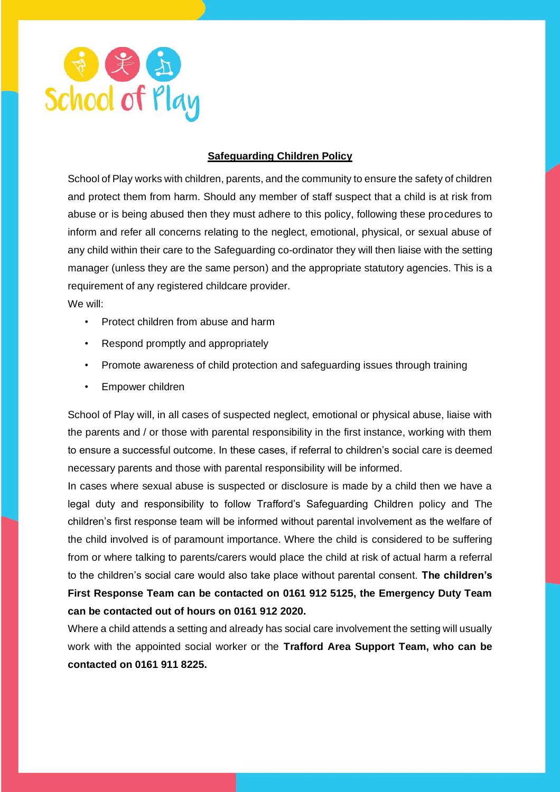

## **Safeguarding Children Policy**

School of Play works with children, parents, and the community to ensure the safety of children and protect them from harm. Should any member of staff suspect that a child is at risk from abuse or is being abused then they must adhere to this policy, following these procedures to inform and refer all concerns relating to the neglect, emotional, physical, or sexual abuse of any child within their care to the Safeguarding co-ordinator they will then liaise with the setting manager (unless they are the same person) and the appropriate statutory agencies. This is a requirement of any registered childcare provider.

We will:

- Protect children from abuse and harm
- Respond promptly and appropriately
- Promote awareness of child protection and safeguarding issues through training
- Empower children

School of Play will, in all cases of suspected neglect, emotional or physical abuse, liaise with the parents and / or those with parental responsibility in the first instance, working with them to ensure a successful outcome. In these cases, if referral to children's social care is deemed necessary parents and those with parental responsibility will be informed.

In cases where sexual abuse is suspected or disclosure is made by a child then we have a legal duty and responsibility to follow Trafford's Safeguarding Children policy and The children's first response team will be informed without parental involvement as the welfare of the child involved is of paramount importance. Where the child is considered to be suffering from or where talking to parents/carers would place the child at risk of actual harm a referral to the children's social care would also take place without parental consent. **The children's First Response Team can be contacted on 0161 912 5125, the Emergency Duty Team can be contacted out of hours on 0161 912 2020.** 

Where a child attends a setting and already has social care involvement the setting will usually work with the appointed social worker or the **Trafford Area Support Team, who can be contacted on 0161 911 8225.**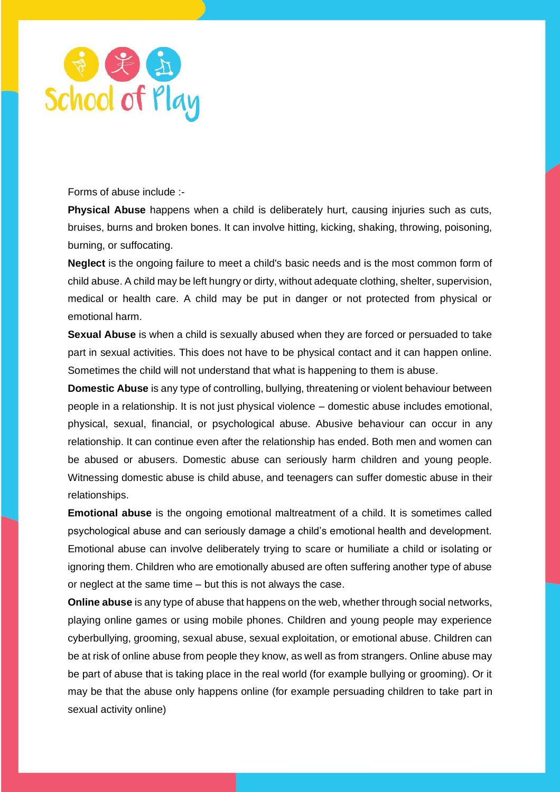

Forms of abuse include :-

**Physical Abuse** happens when a child is deliberately hurt, causing injuries such as cuts, bruises, burns and broken bones. It can involve hitting, kicking, shaking, throwing, poisoning, burning, or suffocating.

**Neglect** is the ongoing failure to meet a child's basic needs and is the most common form of child abuse. A child may be left hungry or dirty, without adequate clothing, shelter, supervision, medical or health care. A child may be put in danger or not protected from physical or emotional harm.

**Sexual Abuse** is when a child is sexually abused when they are forced or persuaded to take part in sexual activities. This does not have to be physical contact and it can happen online. Sometimes the child will not understand that what is happening to them is abuse.

**Domestic Abuse** is any type of controlling, bullying, threatening or violent behaviour between people in a relationship. It is not just physical violence – domestic abuse includes emotional, physical, sexual, financial, or psychological abuse. Abusive behaviour can occur in any relationship. It can continue even after the relationship has ended. Both men and women can be abused or abusers. Domestic abuse can seriously harm children and young people. Witnessing domestic abuse is child abuse, and teenagers can suffer domestic abuse in their relationships.

**Emotional abuse** is the ongoing emotional maltreatment of a child. It is sometimes called psychological abuse and can seriously damage a child's emotional health and development. Emotional abuse can involve deliberately trying to scare or humiliate a child or isolating or ignoring them. Children who are emotionally abused are often suffering another type of abuse or neglect at the same time – but this is not always the case.

**Online abuse** is any type of abuse that happens on the web, whether through social networks, playing online games or using mobile phones. Children and young people may experience cyberbullying, grooming, sexual abuse, sexual exploitation, or emotional abuse. Children can be at risk of online abuse from people they know, as well as from strangers. Online abuse may be part of abuse that is taking place in the real world (for example bullying or grooming). Or it may be that the abuse only happens online (for example persuading children to take part in sexual activity online)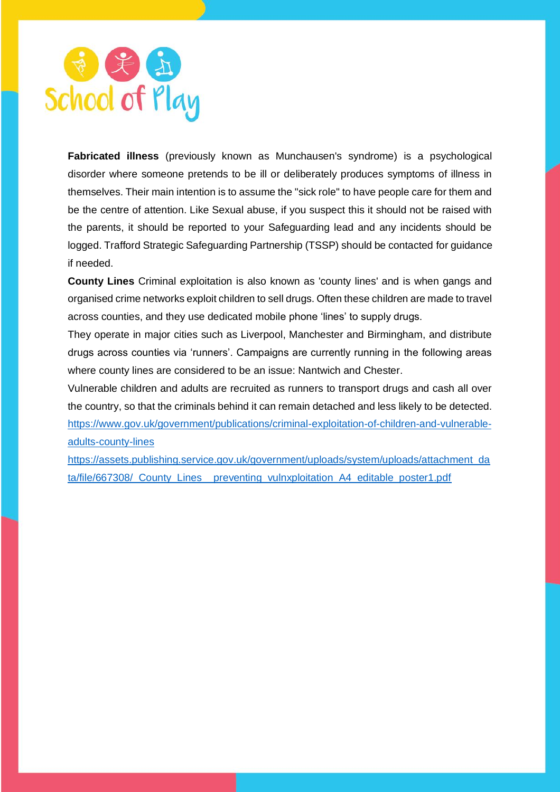

**Fabricated illness** (previously known as Munchausen's syndrome) is a psychological disorder where someone pretends to be ill or deliberately produces symptoms of illness in themselves. Their main intention is to assume the "sick role" to have people care for them and be the centre of attention. Like Sexual abuse, if you suspect this it should not be raised with the parents, it should be reported to your Safeguarding lead and any incidents should be logged. Trafford Strategic Safeguarding Partnership (TSSP) should be contacted for guidance if needed.

**County Lines** Criminal exploitation is also known as 'county lines' and is when gangs and organised crime networks exploit children to sell drugs. Often these children are made to travel across counties, and they use dedicated mobile phone 'lines' to supply drugs.

They operate in major cities such as Liverpool, Manchester and Birmingham, and distribute drugs across counties via 'runners'. Campaigns are currently running in the following areas where county lines are considered to be an issue: Nantwich and Chester.

Vulnerable children and adults are recruited as runners to transport drugs and cash all over the country, so that the criminals behind it can remain detached and less likely to be detected. [https://www.gov.uk/government/publications/criminal-exploitation-of-children-and-vulnerable](https://www.gov.uk/government/publications/criminal-exploitation-of-children-and-vulnerable-adults-county-lines)[adults-county-lines](https://www.gov.uk/government/publications/criminal-exploitation-of-children-and-vulnerable-adults-county-lines)

[https://assets.publishing.service.gov.uk/government/uploads/system/uploads/attachment\\_da](https://assets.publishing.service.gov.uk/government/uploads/system/uploads/attachment_data/file/667308/_County_Lines__preventing_vulnxploitation_A4_editable_poster1.pdf) [ta/file/667308/\\_County\\_Lines\\_\\_preventing\\_vulnxploitation\\_A4\\_editable\\_poster1.pdf](https://assets.publishing.service.gov.uk/government/uploads/system/uploads/attachment_data/file/667308/_County_Lines__preventing_vulnxploitation_A4_editable_poster1.pdf)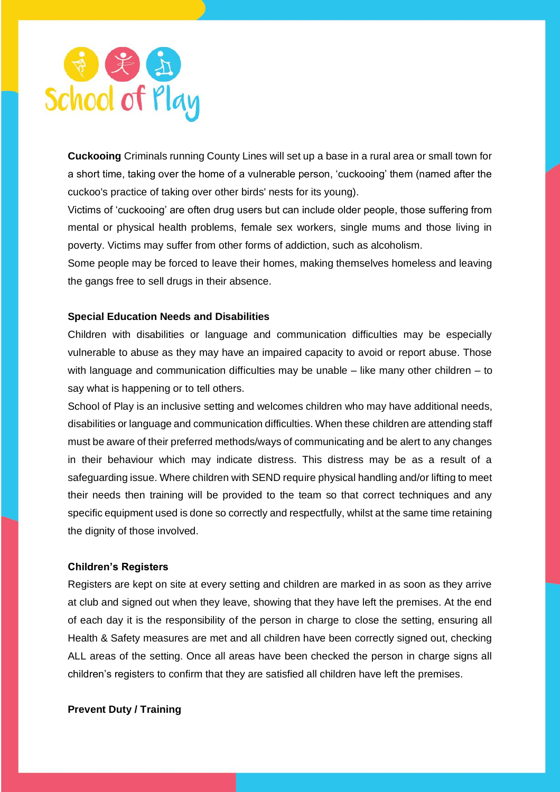

**Cuckooing** Criminals running County Lines will set up a base in a rural area or small town for a short time, taking over the home of a vulnerable person, 'cuckooing' them (named after the cuckoo's practice of taking over other birds' nests for its young).

Victims of 'cuckooing' are often drug users but can include older people, those suffering from mental or physical health problems, female sex workers, single mums and those living in poverty. Victims may suffer from other forms of addiction, such as alcoholism.

Some people may be forced to leave their homes, making themselves homeless and leaving the gangs free to sell drugs in their absence.

## **Special Education Needs and Disabilities**

Children with disabilities or language and communication difficulties may be especially vulnerable to abuse as they may have an impaired capacity to avoid or report abuse. Those with language and communication difficulties may be unable – like many other children – to say what is happening or to tell others.

School of Play is an inclusive setting and welcomes children who may have additional needs, disabilities or language and communication difficulties. When these children are attending staff must be aware of their preferred methods/ways of communicating and be alert to any changes in their behaviour which may indicate distress. This distress may be as a result of a safeguarding issue. Where children with SEND require physical handling and/or lifting to meet their needs then training will be provided to the team so that correct techniques and any specific equipment used is done so correctly and respectfully, whilst at the same time retaining the dignity of those involved.

### **Children's Registers**

Registers are kept on site at every setting and children are marked in as soon as they arrive at club and signed out when they leave, showing that they have left the premises. At the end of each day it is the responsibility of the person in charge to close the setting, ensuring all Health & Safety measures are met and all children have been correctly signed out, checking ALL areas of the setting. Once all areas have been checked the person in charge signs all children's registers to confirm that they are satisfied all children have left the premises.

**Prevent Duty / Training**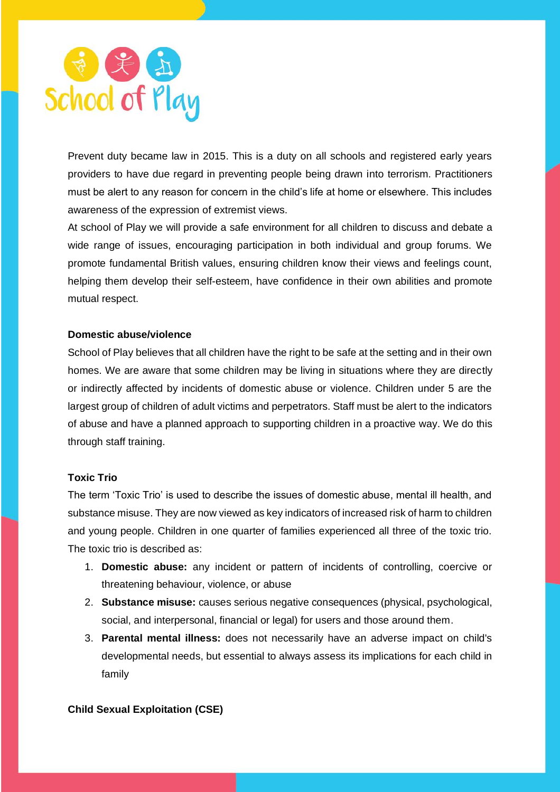

Prevent duty became law in 2015. This is a duty on all schools and registered early years providers to have due regard in preventing people being drawn into terrorism. Practitioners must be alert to any reason for concern in the child's life at home or elsewhere. This includes awareness of the expression of extremist views.

At school of Play we will provide a safe environment for all children to discuss and debate a wide range of issues, encouraging participation in both individual and group forums. We promote fundamental British values, ensuring children know their views and feelings count, helping them develop their self-esteem, have confidence in their own abilities and promote mutual respect.

#### **Domestic abuse/violence**

School of Play believes that all children have the right to be safe at the setting and in their own homes. We are aware that some children may be living in situations where they are directly or indirectly affected by incidents of domestic abuse or violence. Children under 5 are the largest group of children of adult victims and perpetrators. Staff must be alert to the indicators of abuse and have a planned approach to supporting children in a proactive way. We do this through staff training.

#### **Toxic Trio**

The term 'Toxic Trio' is used to describe the issues of domestic abuse, mental ill health, and substance misuse. They are now viewed as key indicators of increased risk of harm to children and young people. Children in one quarter of families experienced all three of the toxic trio. The toxic trio is described as:

- 1. **Domestic abuse:** any incident or pattern of incidents of controlling, coercive or threatening behaviour, violence, or abuse
- 2. **Substance misuse:** causes serious negative consequences (physical, psychological, social, and interpersonal, financial or legal) for users and those around them.
- 3. **Parental mental illness:** does not necessarily have an adverse impact on child's developmental needs, but essential to always assess its implications for each child in family

#### **Child Sexual Exploitation (CSE)**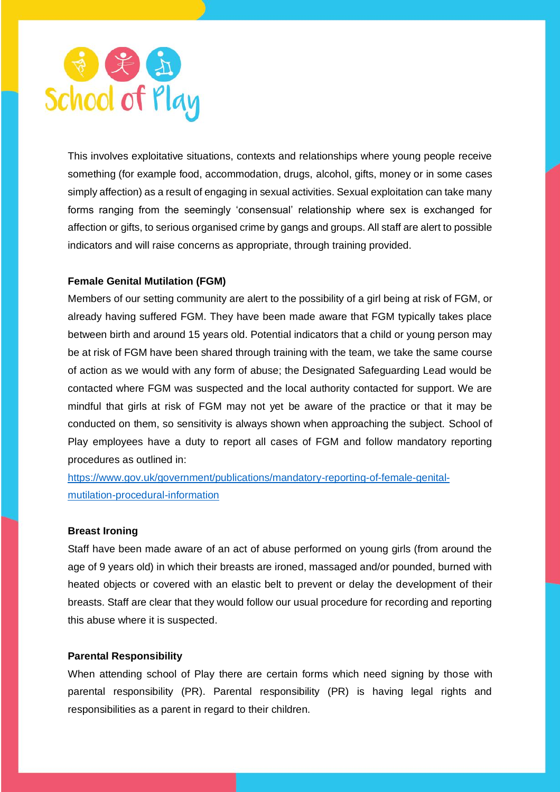

This involves exploitative situations, contexts and relationships where young people receive something (for example food, accommodation, drugs, alcohol, gifts, money or in some cases simply affection) as a result of engaging in sexual activities. Sexual exploitation can take many forms ranging from the seemingly 'consensual' relationship where sex is exchanged for affection or gifts, to serious organised crime by gangs and groups. All staff are alert to possible indicators and will raise concerns as appropriate, through training provided.

## **Female Genital Mutilation (FGM)**

Members of our setting community are alert to the possibility of a girl being at risk of FGM, or already having suffered FGM. They have been made aware that FGM typically takes place between birth and around 15 years old. Potential indicators that a child or young person may be at risk of FGM have been shared through training with the team, we take the same course of action as we would with any form of abuse; the Designated Safeguarding Lead would be contacted where FGM was suspected and the local authority contacted for support. We are mindful that girls at risk of FGM may not yet be aware of the practice or that it may be conducted on them, so sensitivity is always shown when approaching the subject. School of Play employees have a duty to report all cases of FGM and follow mandatory reporting procedures as outlined in:

[https://www.gov.uk/government/publications/mandatory-reporting-of-female-genital](https://www.gov.uk/government/publications/mandatory-reporting-of-female-genital-mutilation-procedural-information)[mutilation-procedural-information](https://www.gov.uk/government/publications/mandatory-reporting-of-female-genital-mutilation-procedural-information)

## **Breast Ironing**

Staff have been made aware of an act of abuse performed on young girls (from around the age of 9 years old) in which their breasts are ironed, massaged and/or pounded, burned with heated objects or covered with an elastic belt to prevent or delay the development of their breasts. Staff are clear that they would follow our usual procedure for recording and reporting this abuse where it is suspected.

### **Parental Responsibility**

When attending school of Play there are certain forms which need signing by those with parental responsibility (PR). Parental responsibility (PR) is having legal rights and responsibilities as a parent in regard to their children.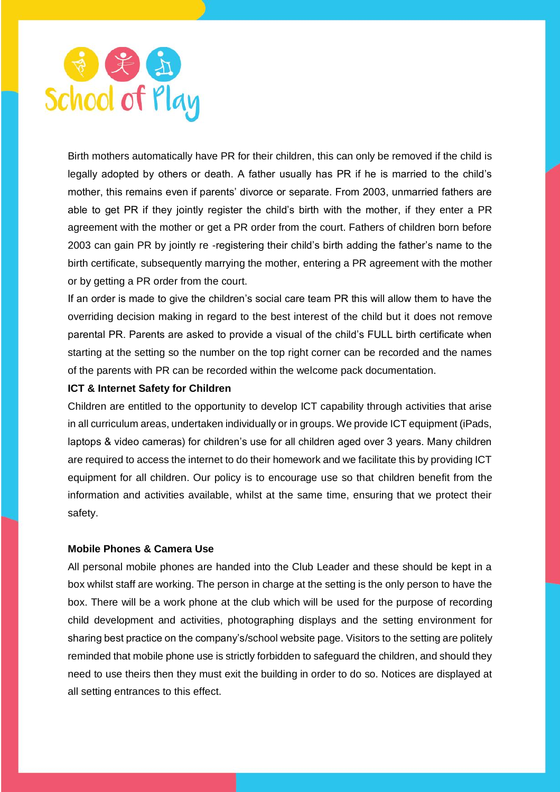

Birth mothers automatically have PR for their children, this can only be removed if the child is legally adopted by others or death. A father usually has PR if he is married to the child's mother, this remains even if parents' divorce or separate. From 2003, unmarried fathers are able to get PR if they jointly register the child's birth with the mother, if they enter a PR agreement with the mother or get a PR order from the court. Fathers of children born before 2003 can gain PR by jointly re -registering their child's birth adding the father's name to the birth certificate, subsequently marrying the mother, entering a PR agreement with the mother or by getting a PR order from the court.

If an order is made to give the children's social care team PR this will allow them to have the overriding decision making in regard to the best interest of the child but it does not remove parental PR. Parents are asked to provide a visual of the child's FULL birth certificate when starting at the setting so the number on the top right corner can be recorded and the names of the parents with PR can be recorded within the welcome pack documentation.

#### **ICT & Internet Safety for Children**

Children are entitled to the opportunity to develop ICT capability through activities that arise in all curriculum areas, undertaken individually or in groups. We provide ICT equipment (iPads, laptops & video cameras) for children's use for all children aged over 3 years. Many children are required to access the internet to do their homework and we facilitate this by providing ICT equipment for all children. Our policy is to encourage use so that children benefit from the information and activities available, whilst at the same time, ensuring that we protect their safety.

#### **Mobile Phones & Camera Use**

All personal mobile phones are handed into the Club Leader and these should be kept in a box whilst staff are working. The person in charge at the setting is the only person to have the box. There will be a work phone at the club which will be used for the purpose of recording child development and activities, photographing displays and the setting environment for sharing best practice on the company's/school website page. Visitors to the setting are politely reminded that mobile phone use is strictly forbidden to safeguard the children, and should they need to use theirs then they must exit the building in order to do so. Notices are displayed at all setting entrances to this effect.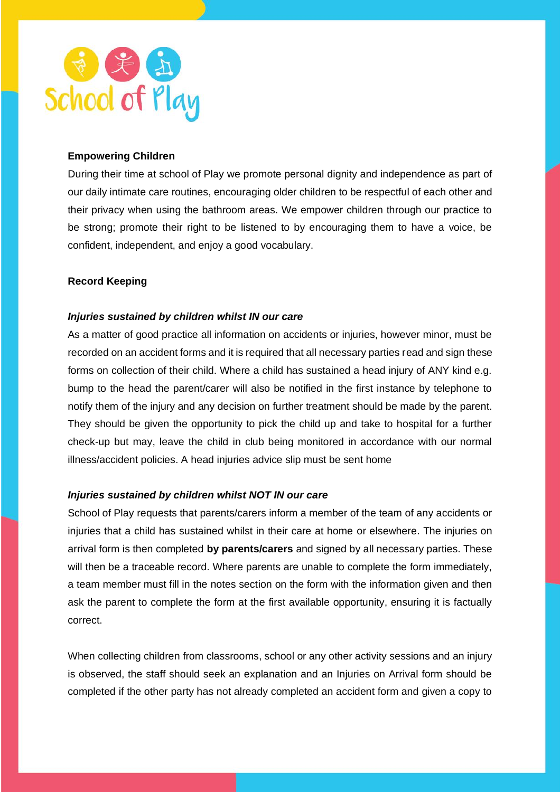

## **Empowering Children**

During their time at school of Play we promote personal dignity and independence as part of our daily intimate care routines, encouraging older children to be respectful of each other and their privacy when using the bathroom areas. We empower children through our practice to be strong; promote their right to be listened to by encouraging them to have a voice, be confident, independent, and enjoy a good vocabulary.

## **Record Keeping**

## *Injuries sustained by children whilst IN our care*

As a matter of good practice all information on accidents or injuries, however minor, must be recorded on an accident forms and it is required that all necessary parties read and sign these forms on collection of their child. Where a child has sustained a head injury of ANY kind e.g. bump to the head the parent/carer will also be notified in the first instance by telephone to notify them of the injury and any decision on further treatment should be made by the parent. They should be given the opportunity to pick the child up and take to hospital for a further check-up but may, leave the child in club being monitored in accordance with our normal illness/accident policies. A head injuries advice slip must be sent home

#### *Injuries sustained by children whilst NOT IN our care*

School of Play requests that parents/carers inform a member of the team of any accidents or injuries that a child has sustained whilst in their care at home or elsewhere. The injuries on arrival form is then completed **by parents/carers** and signed by all necessary parties. These will then be a traceable record. Where parents are unable to complete the form immediately, a team member must fill in the notes section on the form with the information given and then ask the parent to complete the form at the first available opportunity, ensuring it is factually correct.

When collecting children from classrooms, school or any other activity sessions and an injury is observed, the staff should seek an explanation and an Injuries on Arrival form should be completed if the other party has not already completed an accident form and given a copy to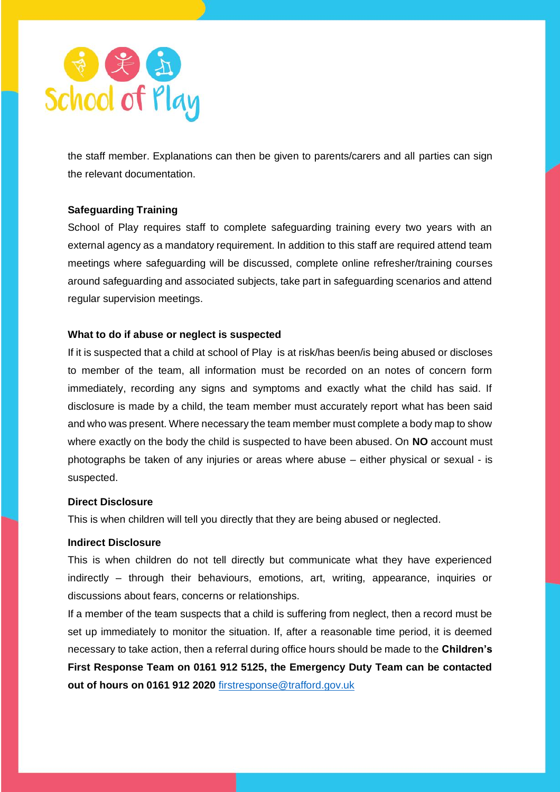

the staff member. Explanations can then be given to parents/carers and all parties can sign the relevant documentation.

## **Safeguarding Training**

School of Play requires staff to complete safeguarding training every two years with an external agency as a mandatory requirement. In addition to this staff are required attend team meetings where safeguarding will be discussed, complete online refresher/training courses around safeguarding and associated subjects, take part in safeguarding scenarios and attend regular supervision meetings.

### **What to do if abuse or neglect is suspected**

If it is suspected that a child at school of Play is at risk/has been/is being abused or discloses to member of the team, all information must be recorded on an notes of concern form immediately, recording any signs and symptoms and exactly what the child has said. If disclosure is made by a child, the team member must accurately report what has been said and who was present. Where necessary the team member must complete a body map to show where exactly on the body the child is suspected to have been abused. On **NO** account must photographs be taken of any injuries or areas where abuse – either physical or sexual - is suspected.

#### **Direct Disclosure**

This is when children will tell you directly that they are being abused or neglected.

### **Indirect Disclosure**

This is when children do not tell directly but communicate what they have experienced indirectly – through their behaviours, emotions, art, writing, appearance, inquiries or discussions about fears, concerns or relationships.

If a member of the team suspects that a child is suffering from neglect, then a record must be set up immediately to monitor the situation. If, after a reasonable time period, it is deemed necessary to take action, then a referral during office hours should be made to the **Children's First Response Team on 0161 912 5125, the Emergency Duty Team can be contacted out of hours on 0161 912 2020** [firstresponse@trafford.gov.uk](mailto:firstresponse@trafford.gov.uk)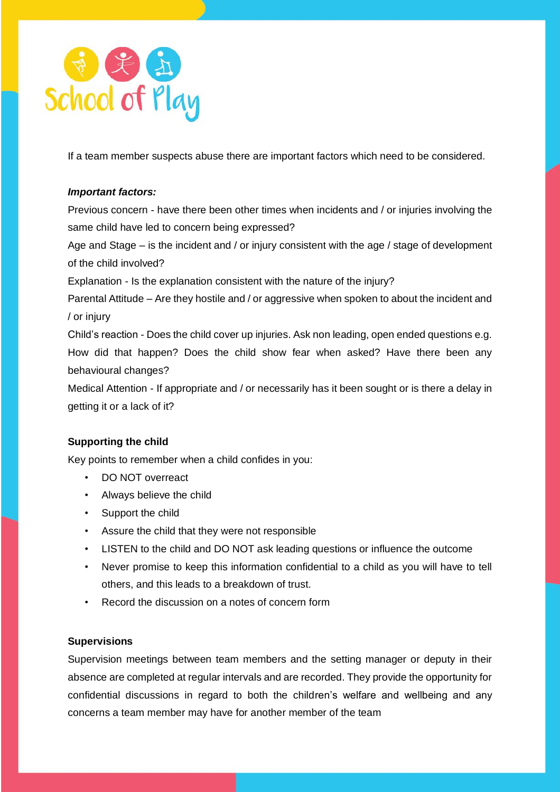

If a team member suspects abuse there are important factors which need to be considered.

## *Important factors:*

Previous concern - have there been other times when incidents and / or injuries involving the same child have led to concern being expressed?

Age and Stage – is the incident and / or injury consistent with the age / stage of development of the child involved?

Explanation - Is the explanation consistent with the nature of the injury?

Parental Attitude – Are they hostile and / or aggressive when spoken to about the incident and / or injury

Child's reaction - Does the child cover up injuries. Ask non leading, open ended questions e.g. How did that happen? Does the child show fear when asked? Have there been any behavioural changes?

Medical Attention - If appropriate and / or necessarily has it been sought or is there a delay in getting it or a lack of it?

# **Supporting the child**

Key points to remember when a child confides in you:

- DO NOT overreact
- Always believe the child
- Support the child
- Assure the child that they were not responsible
- LISTEN to the child and DO NOT ask leading questions or influence the outcome
- Never promise to keep this information confidential to a child as you will have to tell others, and this leads to a breakdown of trust.
- Record the discussion on a notes of concern form

## **Supervisions**

Supervision meetings between team members and the setting manager or deputy in their absence are completed at regular intervals and are recorded. They provide the opportunity for confidential discussions in regard to both the children's welfare and wellbeing and any concerns a team member may have for another member of the team